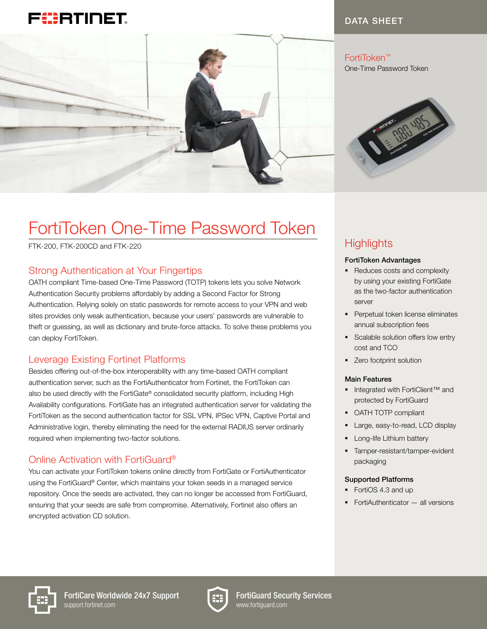



### DATA SHEET

FortiToken™ One-Time Password Token



# FortiToken One-Time Password Token

FTK-200, FTK-200CD and FTK-220

# Strong Authentication at Your Fingertips

OATH compliant Time-based One-Time Password (TOTP) tokens lets you solve Network Authentication Security problems affordably by adding a Second Factor for Strong Authentication. Relying solely on static passwords for remote access to your VPN and web sites provides only weak authentication, because your users' passwords are vulnerable to theft or guessing, as well as dictionary and brute-force attacks. To solve these problems you can deploy FortiToken.

## Leverage Existing Fortinet Platforms

Besides offering out-of-the-box interoperability with any time-based OATH compliant authentication server, such as the FortiAuthenticator from Fortinet, the FortiToken can also be used directly with the FortiGate® consolidated security platform, including High Availability configurations. FortiGate has an integrated authentication server for validating the FortiToken as the second authentication factor for SSL VPN, IPSec VPN, Captive Portal and Administrative login, thereby eliminating the need for the external RADIUS server ordinarily required when implementing two-factor solutions.

## Online Activation with FortiGuard®

You can activate your FortiToken tokens online directly from FortiGate or FortiAuthenticator using the FortiGuard® Center, which maintains your token seeds in a managed service repository. Once the seeds are activated, they can no longer be accessed from FortiGuard, ensuring that your seeds are safe from compromise. Alternatively, Fortinet also offers an encrypted activation CD solution.

# **Highlights**

#### FortiToken Advantages

- Reduces costs and complexity by using your existing FortiGate as the two-factor authentication server
- **•** Perpetual token license eliminates annual subscription fees
- Scalable solution offers low entry cost and TCO
- Zero footprint solution

#### Main Features

- Integrated with FortiClient™ and protected by FortiGuard
- OATH TOTP compliant
- Large, easy-to-read, LCD display
- **•** Long-life Lithium battery
- § Tamper-resistant/tamper-evident packaging

#### Supported Platforms

- § FortiOS 4.3 and up
- FortiAuthenticator all versions





FortiGuard Security Services www.fortiguard.com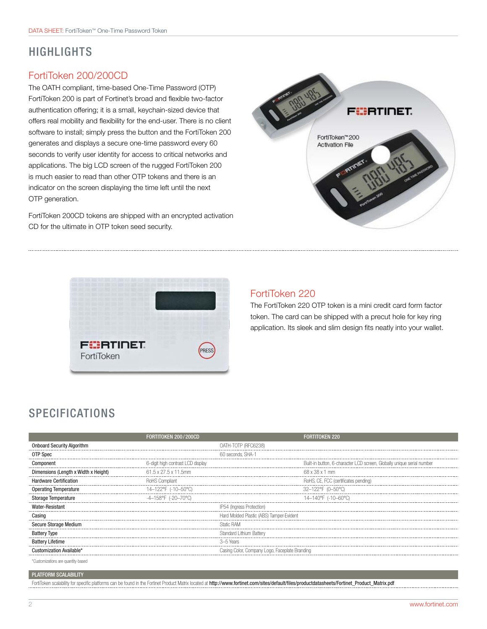# HIGHLIGHTS

### FortiToken 200/200CD

The OATH compliant, time-based One-Time Password (OTP) FortiToken 200 is part of Fortinet's broad and flexible two-factor authentication offering; it is a small, keychain-sized device that offers real mobility and flexibility for the end-user. There is no client software to install; simply press the button and the FortiToken 200 generates and displays a secure one-time password every 60 seconds to verify user identity for access to critical networks and applications. The big LCD screen of the rugged FortiToken 200 is much easier to read than other OTP tokens and there is an indicator on the screen displaying the time left until the next OTP generation.

FortiToken 200CD tokens are shipped with an encrypted activation CD for the ultimate in OTP token seed security.





# FortiToken 220

The FortiToken 220 OTP token is a mini credit card form factor token. The card can be shipped with a precut hole for key ring application. Its sleek and slim design fits neatly into your wallet.

# **SPECIFICATIONS**

|                                      | FORTITOKEN 200/200CD              | <b>FORTITOKEN 220</b>                                                  |
|--------------------------------------|-----------------------------------|------------------------------------------------------------------------|
| <b>Onboard Security Algorithm</b>    |                                   | OATH-TOTP (RFC6238)                                                    |
| OTP Spec                             |                                   | 60 seconds SHA-                                                        |
| Component                            | 6-digit high contrast LCD display | Built-in button, 6-character LCD screen, Globally unique serial number |
| Dimensions (Length x Width x Height) | 61.5 x 27.5 x 11.5mm              | 68 x 38 x 1 mm                                                         |
| Hardware Certification               | RoHS Compliant                    | RoHS, CE, FCC (certificates pending)                                   |
| <b>Operating Temperature</b>         | 14-122°F (-10-50°C                | 32-122°F (0-50°C)                                                      |
| Storage Temperature                  | -4–158°F (-20–70°C)               | 14-140°F (-10-60°C)                                                    |
| Water-Resistant                      |                                   | IP54 (Ingress Protection)                                              |
| Casing                               |                                   | Hard Molded Plastic (ABS) Tamper-Evident                               |
| Secure Storage Medium                |                                   |                                                                        |
| <b>Battery Type</b>                  |                                   | Standard Lithium Battery                                               |
| <b>Battery Lifetime</b>              |                                   |                                                                        |
| »mization Available                  |                                   | Casing Color.                                                          |
| Customizations are quantity-based    |                                   |                                                                        |

#### PLATFORM SCALABILITY

| FortiToken scalability for specific platforms can be found in the Fortinet Product Matrix located at http://www.fortinet.com/sites/default/files/productdatasheets/Fortinet_Product_Matrix.pdf |  |
|------------------------------------------------------------------------------------------------------------------------------------------------------------------------------------------------|--|
|                                                                                                                                                                                                |  |